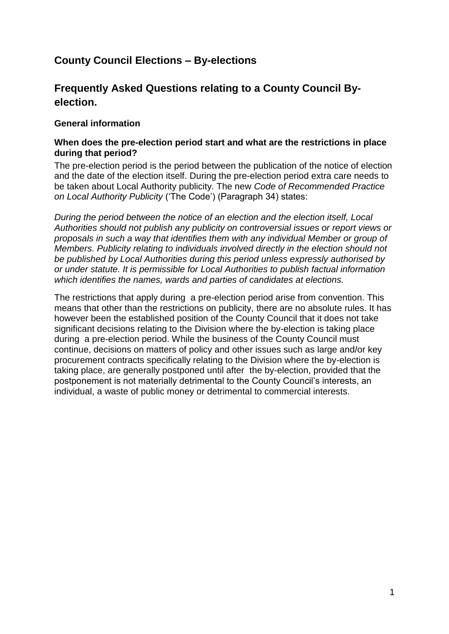# **County Council Elections – By-elections**

# **Frequently Asked Questions relating to a County Council Byelection.**

### **General information**

#### **When does the pre-election period start and what are the restrictions in place during that period?**

The pre-election period is the period between the publication of the notice of election and the date of the election itself. During the pre-election period extra care needs to be taken about Local Authority publicity. The new *Code of Recommended Practice on Local Authority Publicity* ('The Code') (Paragraph 34) states:

*During the period between the notice of an election and the election itself, Local Authorities should not publish any publicity on controversial issues or report views or proposals in such a way that identifies them with any individual Member or group of Members. Publicity relating to individuals involved directly in the election should not be published by Local Authorities during this period unless expressly authorised by or under statute. It is permissible for Local Authorities to publish factual information which identifies the names, wards and parties of candidates at elections.*

The restrictions that apply during a pre-election period arise from convention. This means that other than the restrictions on publicity, there are no absolute rules. It has however been the established position of the County Council that it does not take significant decisions relating to the Division where the by-election is taking place during a pre-election period. While the business of the County Council must continue, decisions on matters of policy and other issues such as large and/or key procurement contracts specifically relating to the Division where the by-election is taking place, are generally postponed until after the by-election, provided that the postponement is not materially detrimental to the County Council's interests, an individual, a waste of public money or detrimental to commercial interests.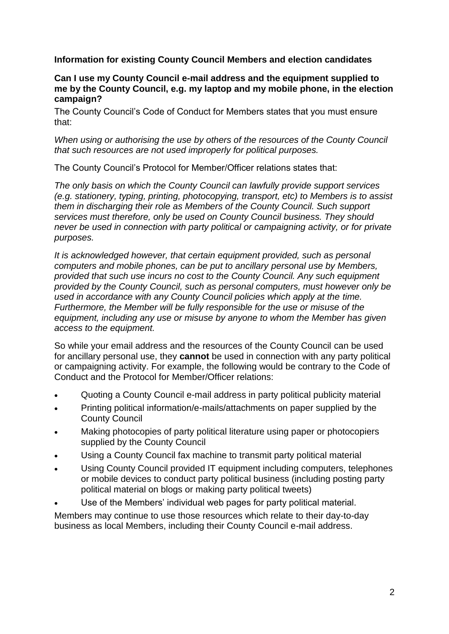**Information for existing County Council Members and election candidates**

### **Can I use my County Council e-mail address and the equipment supplied to me by the County Council, e.g. my laptop and my mobile phone, in the election campaign?**

The County Council's Code of Conduct for Members states that you must ensure that:

*When using or authorising the use by others of the resources of the County Council that such resources are not used improperly for political purposes.*

The County Council's Protocol for Member/Officer relations states that:

*The only basis on which the County Council can lawfully provide support services (e.g. stationery, typing, printing, photocopying, transport, etc) to Members is to assist them in discharging their role as Members of the County Council. Such support services must therefore, only be used on County Council business. They should never be used in connection with party political or campaigning activity, or for private purposes.*

*It is acknowledged however, that certain equipment provided, such as personal computers and mobile phones, can be put to ancillary personal use by Members, provided that such use incurs no cost to the County Council. Any such equipment provided by the County Council, such as personal computers, must however only be used in accordance with any County Council policies which apply at the time. Furthermore, the Member will be fully responsible for the use or misuse of the equipment, including any use or misuse by anyone to whom the Member has given access to the equipment.*

So while your email address and the resources of the County Council can be used for ancillary personal use, they **cannot** be used in connection with any party political or campaigning activity. For example, the following would be contrary to the Code of Conduct and the Protocol for Member/Officer relations:

- Quoting a County Council e-mail address in party political publicity material
- Printing political information/e-mails/attachments on paper supplied by the County Council
- Making photocopies of party political literature using paper or photocopiers supplied by the County Council
- Using a County Council fax machine to transmit party political material
- Using County Council provided IT equipment including computers, telephones or mobile devices to conduct party political business (including posting party political material on blogs or making party political tweets)
- Use of the Members' individual web pages for party political material.

Members may continue to use those resources which relate to their day-to-day business as local Members, including their County Council e-mail address.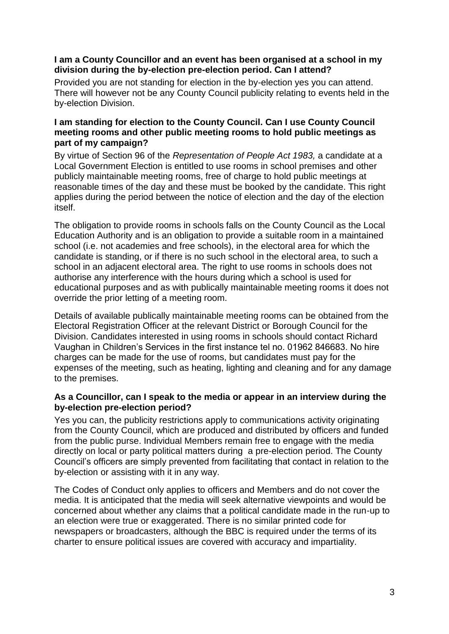### **I am a County Councillor and an event has been organised at a school in my division during the by-election pre-election period. Can I attend?**

Provided you are not standing for election in the by-election yes you can attend. There will however not be any County Council publicity relating to events held in the by-election Division.

## **I am standing for election to the County Council. Can I use County Council meeting rooms and other public meeting rooms to hold public meetings as part of my campaign?**

By virtue of Section 96 of the *Representation of People Act 1983,* a candidate at a Local Government Election is entitled to use rooms in school premises and other publicly maintainable meeting rooms, free of charge to hold public meetings at reasonable times of the day and these must be booked by the candidate. This right applies during the period between the notice of election and the day of the election itself.

The obligation to provide rooms in schools falls on the County Council as the Local Education Authority and is an obligation to provide a suitable room in a maintained school (i.e. not academies and free schools), in the electoral area for which the candidate is standing, or if there is no such school in the electoral area, to such a school in an adjacent electoral area. The right to use rooms in schools does not authorise any interference with the hours during which a school is used for educational purposes and as with publically maintainable meeting rooms it does not override the prior letting of a meeting room.

Details of available publically maintainable meeting rooms can be obtained from the Electoral Registration Officer at the relevant District or Borough Council for the Division. Candidates interested in using rooms in schools should contact Richard Vaughan in Children's Services in the first instance tel no. 01962 846683. No hire charges can be made for the use of rooms, but candidates must pay for the expenses of the meeting, such as heating, lighting and cleaning and for any damage to the premises.

### **As a Councillor, can I speak to the media or appear in an interview during the by-election pre-election period?**

Yes you can, the publicity restrictions apply to communications activity originating from the County Council, which are produced and distributed by officers and funded from the public purse. Individual Members remain free to engage with the media directly on local or party political matters during a pre-election period. The County Council's officers are simply prevented from facilitating that contact in relation to the by-election or assisting with it in any way.

The Codes of Conduct only applies to officers and Members and do not cover the media. It is anticipated that the media will seek alternative viewpoints and would be concerned about whether any claims that a political candidate made in the run-up to an election were true or exaggerated. There is no similar printed code for newspapers or broadcasters, although the BBC is required under the terms of its charter to ensure political issues are covered with accuracy and impartiality.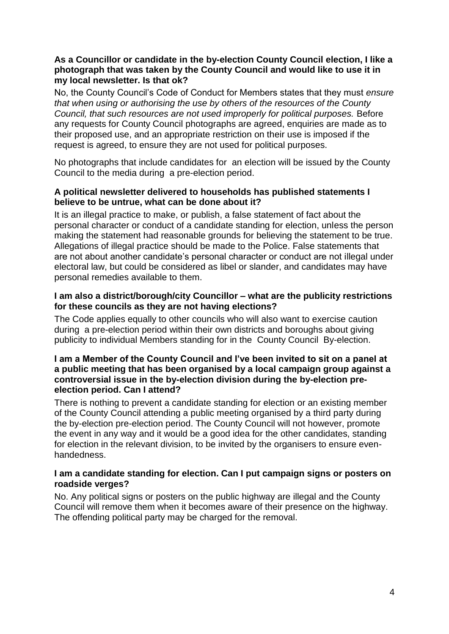### **As a Councillor or candidate in the by-election County Council election, I like a photograph that was taken by the County Council and would like to use it in my local newsletter. Is that ok?**

No, the County Council's Code of Conduct for Members states that they must *ensure that when using or authorising the use by others of the resources of the County Council, that such resources are not used improperly for political purposes.* Before any requests for County Council photographs are agreed, enquiries are made as to their proposed use, and an appropriate restriction on their use is imposed if the request is agreed, to ensure they are not used for political purposes.

No photographs that include candidates for an election will be issued by the County Council to the media during a pre-election period.

## **A political newsletter delivered to households has published statements I believe to be untrue, what can be done about it?**

It is an illegal practice to make, or publish, a false statement of fact about the personal character or conduct of a candidate standing for election, unless the person making the statement had reasonable grounds for believing the statement to be true. Allegations of illegal practice should be made to the Police. False statements that are not about another candidate's personal character or conduct are not illegal under electoral law, but could be considered as libel or slander, and candidates may have personal remedies available to them.

### **I am also a district/borough/city Councillor – what are the publicity restrictions for these councils as they are not having elections?**

The Code applies equally to other councils who will also want to exercise caution during a pre-election period within their own districts and boroughs about giving publicity to individual Members standing for in the County Council By-election.

#### **I am a Member of the County Council and I've been invited to sit on a panel at a public meeting that has been organised by a local campaign group against a controversial issue in the by-election division during the by-election preelection period. Can I attend?**

There is nothing to prevent a candidate standing for election or an existing member of the County Council attending a public meeting organised by a third party during the by-election pre-election period. The County Council will not however, promote the event in any way and it would be a good idea for the other candidates, standing for election in the relevant division, to be invited by the organisers to ensure evenhandedness.

### **I am a candidate standing for election. Can I put campaign signs or posters on roadside verges?**

No. Any political signs or posters on the public highway are illegal and the County Council will remove them when it becomes aware of their presence on the highway. The offending political party may be charged for the removal.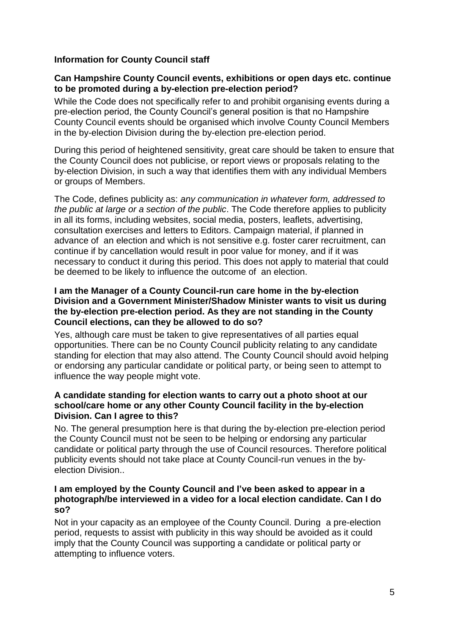# **Information for County Council staff**

### **Can Hampshire County Council events, exhibitions or open days etc. continue to be promoted during a by-election pre-election period?**

While the Code does not specifically refer to and prohibit organising events during a pre-election period, the County Council's general position is that no Hampshire County Council events should be organised which involve County Council Members in the by-election Division during the by-election pre-election period.

During this period of heightened sensitivity, great care should be taken to ensure that the County Council does not publicise, or report views or proposals relating to the by-election Division, in such a way that identifies them with any individual Members or groups of Members.

The Code, defines publicity as: *any communication in whatever form, addressed to the public at large or a section of the public*. The Code therefore applies to publicity in all its forms, including websites, social media, posters, leaflets, advertising, consultation exercises and letters to Editors. Campaign material, if planned in advance of an election and which is not sensitive e.g. foster carer recruitment, can continue if by cancellation would result in poor value for money, and if it was necessary to conduct it during this period. This does not apply to material that could be deemed to be likely to influence the outcome of an election.

### **I am the Manager of a County Council-run care home in the by-election Division and a Government Minister/Shadow Minister wants to visit us during the by-election pre-election period. As they are not standing in the County Council elections, can they be allowed to do so?**

Yes, although care must be taken to give representatives of all parties equal opportunities. There can be no County Council publicity relating to any candidate standing for election that may also attend. The County Council should avoid helping or endorsing any particular candidate or political party, or being seen to attempt to influence the way people might vote.

### **A candidate standing for election wants to carry out a photo shoot at our school/care home or any other County Council facility in the by-election Division. Can I agree to this?**

No. The general presumption here is that during the by-election pre-election period the County Council must not be seen to be helping or endorsing any particular candidate or political party through the use of Council resources. Therefore political publicity events should not take place at County Council-run venues in the byelection Division..

### **I am employed by the County Council and I've been asked to appear in a photograph/be interviewed in a video for a local election candidate. Can I do so?**

Not in your capacity as an employee of the County Council. During a pre-election period, requests to assist with publicity in this way should be avoided as it could imply that the County Council was supporting a candidate or political party or attempting to influence voters.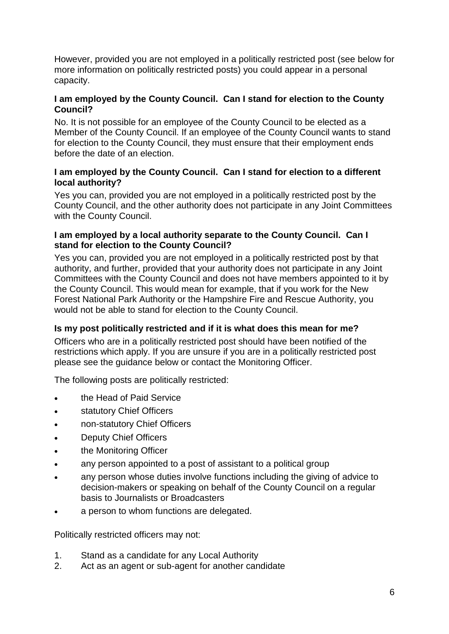However, provided you are not employed in a politically restricted post (see below for more information on politically restricted posts) you could appear in a personal capacity.

# **I am employed by the County Council. Can I stand for election to the County Council?**

No. It is not possible for an employee of the County Council to be elected as a Member of the County Council. If an employee of the County Council wants to stand for election to the County Council, they must ensure that their employment ends before the date of an election.

## **I am employed by the County Council. Can I stand for election to a different local authority?**

Yes you can, provided you are not employed in a politically restricted post by the County Council, and the other authority does not participate in any Joint Committees with the County Council.

## **I am employed by a local authority separate to the County Council. Can I stand for election to the County Council?**

Yes you can, provided you are not employed in a politically restricted post by that authority, and further, provided that your authority does not participate in any Joint Committees with the County Council and does not have members appointed to it by the County Council. This would mean for example, that if you work for the New Forest National Park Authority or the Hampshire Fire and Rescue Authority, you would not be able to stand for election to the County Council.

# **Is my post politically restricted and if it is what does this mean for me?**

Officers who are in a politically restricted post should have been notified of the restrictions which apply. If you are unsure if you are in a politically restricted post please see the guidance below or contact the Monitoring Officer.

The following posts are politically restricted:

- the Head of Paid Service
- **•** statutory Chief Officers
- non-statutory Chief Officers
- Deputy Chief Officers
- **•** the Monitoring Officer
- any person appointed to a post of assistant to a political group
- any person whose duties involve functions including the giving of advice to decision-makers or speaking on behalf of the County Council on a regular basis to Journalists or Broadcasters
- a person to whom functions are delegated.

Politically restricted officers may not:

- 1. Stand as a candidate for any Local Authority
- 2. Act as an agent or sub-agent for another candidate